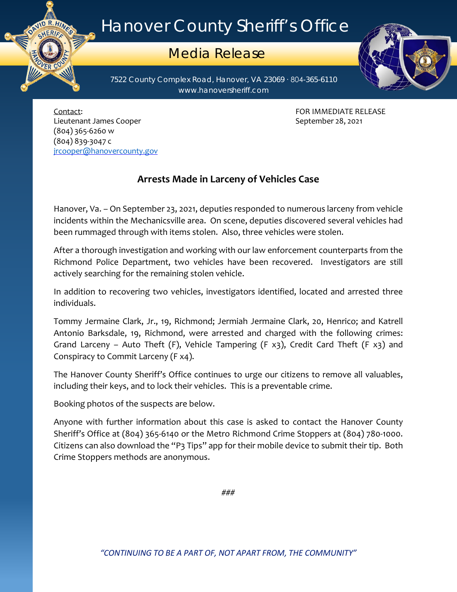## Hanover County Sheriff's Office

## Media Release

7522 County Complex Road, Hanover, VA 23069 ∙ 804-365-6110 www.hanoversheriff.com



Contact: FOR IMMEDIATE RELEASE Lieutenant James Cooper **September 28, 2021** (804) 365-6260 w (804) 839-3047 c [jrcooper@hanovercounty.gov](mailto:jrcooper@hanovercounty.gov)

ER CO

## **Arrests Made in Larceny of Vehicles Case**

Hanover, Va. – On September 23, 2021, deputies responded to numerous larceny from vehicle incidents within the Mechanicsville area. On scene, deputies discovered several vehicles had been rummaged through with items stolen. Also, three vehicles were stolen.

After a thorough investigation and working with our law enforcement counterparts from the Richmond Police Department, two vehicles have been recovered. Investigators are still actively searching for the remaining stolen vehicle.

In addition to recovering two vehicles, investigators identified, located and arrested three individuals.

Tommy Jermaine Clark, Jr., 19, Richmond; Jermiah Jermaine Clark, 20, Henrico; and Katrell Antonio Barksdale, 19, Richmond, were arrested and charged with the following crimes: Grand Larceny – Auto Theft (F), Vehicle Tampering (F  $x3$ ), Credit Card Theft (F  $x3$ ) and Conspiracy to Commit Larceny (F x4).

The Hanover County Sheriff's Office continues to urge our citizens to remove all valuables, including their keys, and to lock their vehicles. This is a preventable crime.

Booking photos of the suspects are below.

Anyone with further information about this case is asked to contact the Hanover County Sheriff's Office at (804) 365-6140 or the Metro Richmond Crime Stoppers at (804) 780-1000. Citizens can also download the "P3 Tips" app for their mobile device to submit their tip. Both Crime Stoppers methods are anonymous.

###